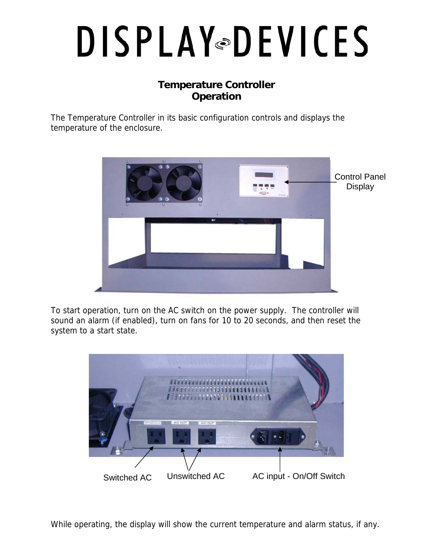## **DISPLAY®DEVICES**

## **Temperature Controller Operation**

The Temperature Controller in its basic configuration controls and displays the temperature of the enclosure.



To start operation, turn on the AC switch on the power supply. The controller will sound an alarm (if enabled), turn on fans for 10 to 20 seconds, and then reset the system to a start state.



While operating, the display will show the current temperature and alarm status, if any.